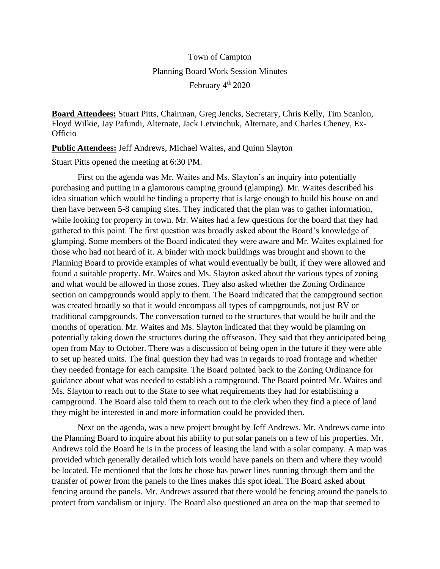## Town of Campton Planning Board Work Session Minutes February 4<sup>th</sup> 2020

**Board Attendees:** Stuart Pitts, Chairman, Greg Jencks, Secretary, Chris Kelly, Tim Scanlon, Floyd Wilkie, Jay Pafundi, Alternate, Jack Letvinchuk, Alternate, and Charles Cheney, Ex-**Officio** 

**Public Attendees:** Jeff Andrews, Michael Waites, and Quinn Slayton

Stuart Pitts opened the meeting at 6:30 PM.

First on the agenda was Mr. Waites and Ms. Slayton's an inquiry into potentially purchasing and putting in a glamorous camping ground (glamping). Mr. Waites described his idea situation which would be finding a property that is large enough to build his house on and then have between 5-8 camping sites. They indicated that the plan was to gather information, while looking for property in town. Mr. Waites had a few questions for the board that they had gathered to this point. The first question was broadly asked about the Board's knowledge of glamping. Some members of the Board indicated they were aware and Mr. Waites explained for those who had not heard of it. A binder with mock buildings was brought and shown to the Planning Board to provide examples of what would eventually be built, if they were allowed and found a suitable property. Mr. Waites and Ms. Slayton asked about the various types of zoning and what would be allowed in those zones. They also asked whether the Zoning Ordinance section on campgrounds would apply to them. The Board indicated that the campground section was created broadly so that it would encompass all types of campgrounds, not just RV or traditional campgrounds. The conversation turned to the structures that would be built and the months of operation. Mr. Waites and Ms. Slayton indicated that they would be planning on potentially taking down the structures during the offseason. They said that they anticipated being open from May to October. There was a discussion of being open in the future if they were able to set up heated units. The final question they had was in regards to road frontage and whether they needed frontage for each campsite. The Board pointed back to the Zoning Ordinance for guidance about what was needed to establish a campground. The Board pointed Mr. Waites and Ms. Slayton to reach out to the State to see what requirements they had for establishing a campground. The Board also told them to reach out to the clerk when they find a piece of land they might be interested in and more information could be provided then.

Next on the agenda, was a new project brought by Jeff Andrews. Mr. Andrews came into the Planning Board to inquire about his ability to put solar panels on a few of his properties. Mr. Andrews told the Board he is in the process of leasing the land with a solar company. A map was provided which generally detailed which lots would have panels on them and where they would be located. He mentioned that the lots he chose has power lines running through them and the transfer of power from the panels to the lines makes this spot ideal. The Board asked about fencing around the panels. Mr. Andrews assured that there would be fencing around the panels to protect from vandalism or injury. The Board also questioned an area on the map that seemed to